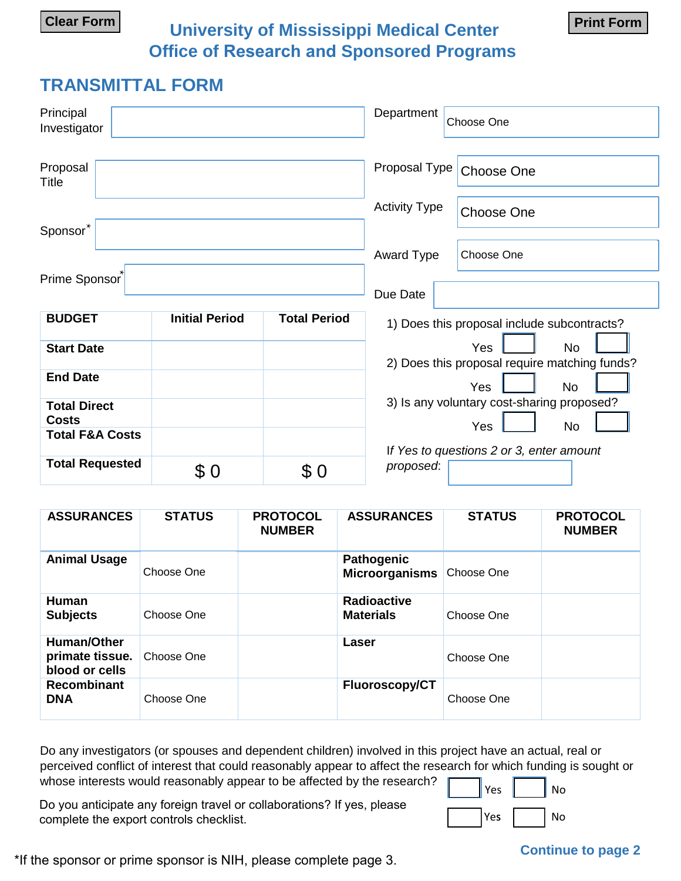**University of Mississippi Medical Center Clear Form Print Form Office of Research and Sponsored Programs**

## **TRANSMITTAL FORM**

| Principal<br>Investigator           |                       |                     | Department           | Choose One                                                 |
|-------------------------------------|-----------------------|---------------------|----------------------|------------------------------------------------------------|
| Proposal<br>Title                   |                       |                     | Proposal Type        | Choose One                                                 |
| Sponsor*                            |                       |                     | <b>Activity Type</b> | Choose One                                                 |
|                                     |                       |                     | Award Type           | Choose One                                                 |
| Prime Sponsor                       |                       |                     | Due Date             |                                                            |
| <b>BUDGET</b>                       | <b>Initial Period</b> | <b>Total Period</b> |                      | 1) Does this proposal include subcontracts?                |
| <b>Start Date</b>                   |                       |                     |                      | No<br>Yes<br>2) Does this proposal require matching funds? |
| <b>End Date</b>                     |                       |                     |                      | Yes<br><b>No</b>                                           |
| <b>Total Direct</b><br><b>Costs</b> |                       |                     |                      | 3) Is any voluntary cost-sharing proposed?<br>No<br>Yes    |
| <b>Total F&amp;A Costs</b>          |                       |                     |                      | If Yes to questions 2 or 3, enter amount                   |
| <b>Total Requested</b>              | \$0                   | \$0                 | proposed:            |                                                            |

| <b>ASSURANCES</b>                                | <b>STATUS</b> | <b>PROTOCOL</b><br><b>NUMBER</b> | <b>ASSURANCES</b>                          | <b>STATUS</b> | <b>PROTOCOL</b><br><b>NUMBER</b> |
|--------------------------------------------------|---------------|----------------------------------|--------------------------------------------|---------------|----------------------------------|
| <b>Animal Usage</b>                              | Choose One    |                                  | <b>Pathogenic</b><br><b>Microorganisms</b> | Choose One    |                                  |
| <b>Human</b><br><b>Subjects</b>                  | Choose One    |                                  | <b>Radioactive</b><br><b>Materials</b>     | Choose One    |                                  |
| Human/Other<br>primate tissue.<br>blood or cells | Choose One    |                                  | Laser                                      | Choose One    |                                  |
| Recombinant<br><b>DNA</b>                        | Choose One    |                                  | <b>Fluoroscopy/CT</b>                      | Choose One    |                                  |

Do any investigators (or spouses and dependent children) involved in this project have an actual, real or perceived conflict of interest that could reasonably appear to affect the research for which funding is sought or whose interests would reasonably appear to be affected by the research?

Do you anticipate any foreign travel or collaborations? If yes, please complete the export controls checklist. The export of the export controls checklist.

\*If the sponsor or prime sponsor is NIH, please complete page 3.

### **Continue to page 2**

Yes  $\parallel$  No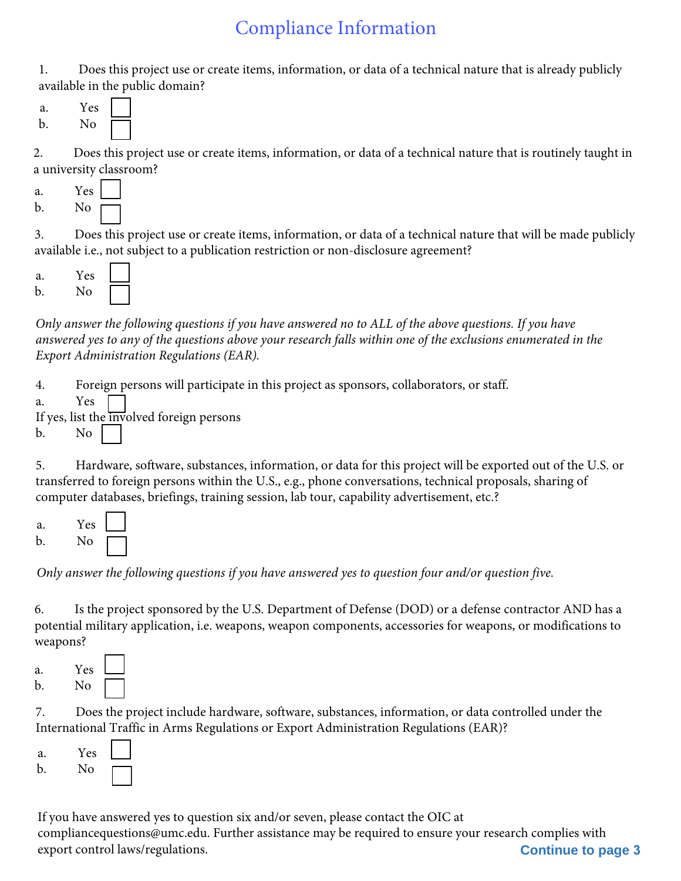# Compliance Information

1. Does this project use or create items, information, or data of a technical nature that is already publicly available in the public domain?



2. Does this project use or create items, information, or data of a technical nature that is routinely taught in a university classroom?

| a. | Yes |  |
|----|-----|--|
| b. | No  |  |

3. Does this project use or create items, information, or data of a technical nature that will be made publicly available i.e., not subject to a publication restriction or non-disclosure agreement?



*Only answer the following questions if you have answered no to ALL of the above questions. If you have answered yes to any of the questions above your research falls within one of the exclusions enumerated in the Export Administration Regulations (EAR).*

4. Foreign persons will participate in this project as sponsors, collaborators, or staff.

a. Yes

If yes, list the involved foreign persons

b. No

5. Hardware, software, substances, information, or data for this project will be exported out of the U.S. or transferred to foreign persons within the U.S., e.g., phone conversations, technical proposals, sharing of computer databases, briefings, training session, lab tour, capability advertisement, etc.?



*Only answer the following questions if you have answered yes to question four and/or question five.*

6. Is the project sponsored by the U.S. Department of Defense (DOD) or a defense contractor AND has a potential military application, i.e. weapons, weapon components, accessories for weapons, or modifications to weapons?

a. Yes b. No

7. Does the project include hardware, software, substances, information, or data controlled under the International Traffic in Arms Regulations or Export Administration Regulations (EAR)?



If you have answered yes to question six and/or seven, please contact the OIC at compliancequestions@umc.edu. Further assistance may be required to ensure your research complies with export control laws/regulations. **Continue to page 3**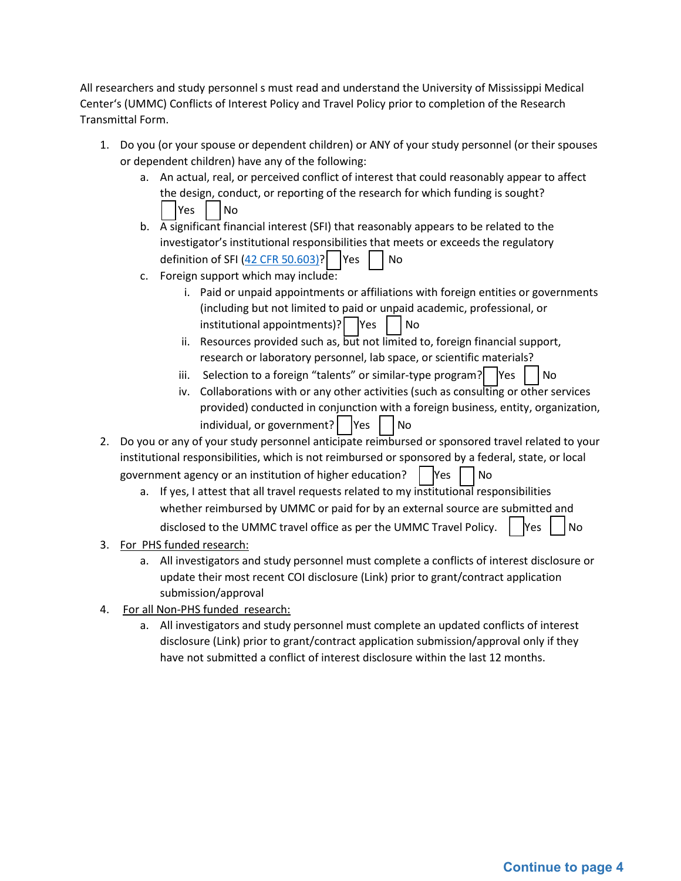All researchers and study personnel s must read and understand the University of Mississippi Medical Center's (UMMC) Conflicts of Interest Policy and Travel Policy prior to completion of the Research Transmittal Form.

- 1. Do you (or your spouse or dependent children) or ANY of your study personnel (or their spouses or dependent children) have any of the following:
	- a. An actual, real, or perceived conflict of interest that could reasonably appear to affect the design, conduct, or reporting of the research for which funding is sought? ∣Yes │ ∣No
	- b. A significant financial interest (SFI) that reasonably appears to be related to the investigator's institutional responsibilities that meets or exceeds the regulatory definition of SFI [\(42 CFR 50.603\)?](https://ecfr.io/Title-42/Section-50.603)  $\vert$  Yes  $\vert$  No
	- c. Foreign support which may include:
		- i. Paid or unpaid appointments or affiliations with foreign entities or governments (including but not limited to paid or unpaid academic, professional, or  $initial$  institutional appointments)? | |Yes | | No
		- ii. Resources provided such as,  $\overline{\text{but}}$  not limited to, foreign financial support, research or laboratory personnel, lab space, or scientific materials?
		- iii. Selection to a foreign "talents" or similar-type program?  $\vert$   $\vert$   $\vert$   $\vert$   $\vert$   $\vert$  No
		- iv. Collaborations with or any other activities (such as consulting or other services provided) conducted in conjunction with a foreign business, entity, organization, individual, or government? | | Yes | | No
- 2. Do you or any of your study personnel anticipate reimbursed or sponsored travel related to your institutional responsibilities, which is not reimbursed or sponsored by a federal, state, or local government agency or an institution of higher education? | Yes | No
	- a. If yes, I attest that all travel requests related to my institutional responsibilities whether reimbursed by UMMC or paid for by an external source are submitted and disclosed to the UMMC travel office as per the UMMC Travel Policy.  $\begin{bmatrix} \n\end{bmatrix}$   $\begin{bmatrix} N_{\text{B}} \\ N_{\text{C}} \n\end{bmatrix}$
- 3. For PHS funded research:
	- a. All investigators and study personnel must complete a conflicts of interest disclosure or update their most recent COI disclosure (Link) prior to grant/contract application submission/approval
- 4. For all Non-PHS funded research:
	- a. All investigators and study personnel must complete an updated conflicts of interest disclosure (Link) prior to grant/contract application submission/approval only if they have not submitted a conflict of interest disclosure within the last 12 months.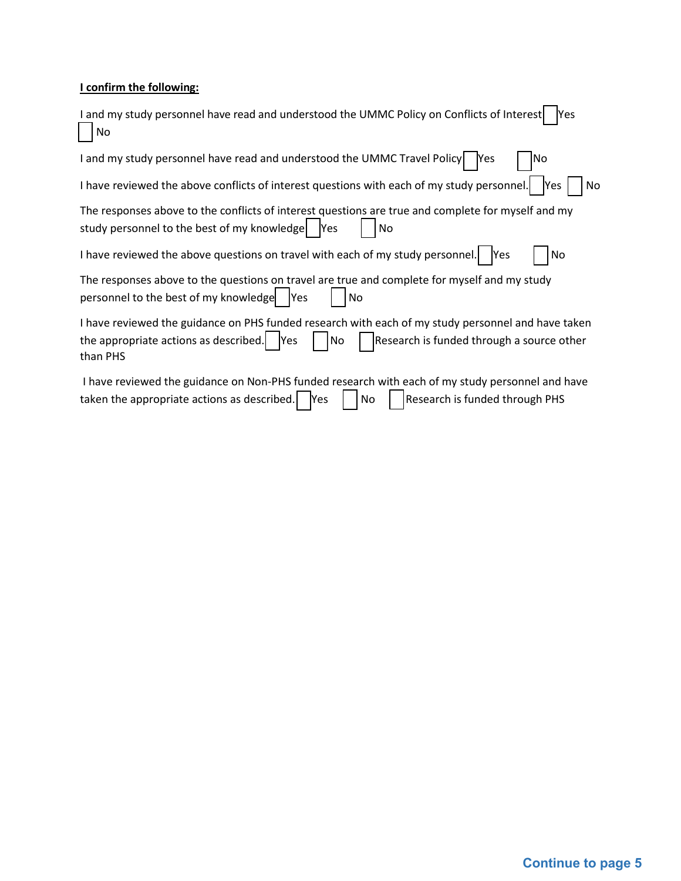## **I confirm the following:**

| I and my study personnel have read and understood the UMMC Policy on Conflicts of Interest<br>Yes<br>No                                                                                                                 |
|-------------------------------------------------------------------------------------------------------------------------------------------------------------------------------------------------------------------------|
| I and my study personnel have read and understood the UMMC Travel Policy   Yes<br>No                                                                                                                                    |
| I have reviewed the above conflicts of interest questions with each of my study personnel.<br>No<br>lYes                                                                                                                |
| The responses above to the conflicts of interest questions are true and complete for myself and my<br>study personnel to the best of my knowledge<br><b>Yes</b><br>No                                                   |
| I have reviewed the above questions on travel with each of my study personnel.   Yes<br>No                                                                                                                              |
| The responses above to the questions on travel are true and complete for myself and my study<br>personnel to the best of my knowledge   Yes<br>No.                                                                      |
| I have reviewed the guidance on PHS funded research with each of my study personnel and have taken<br>the appropriate actions as described. $\vert$ Yes<br>Research is funded through a source other<br> No<br>than PHS |
| I have reviewed the guidance on Non-PHS funded research with each of my study personnel and have<br>taken the appropriate actions as described.<br><b>Research is funded through PHS</b><br><b>Yes</b><br>No            |

 $\overline{\phantom{a}}$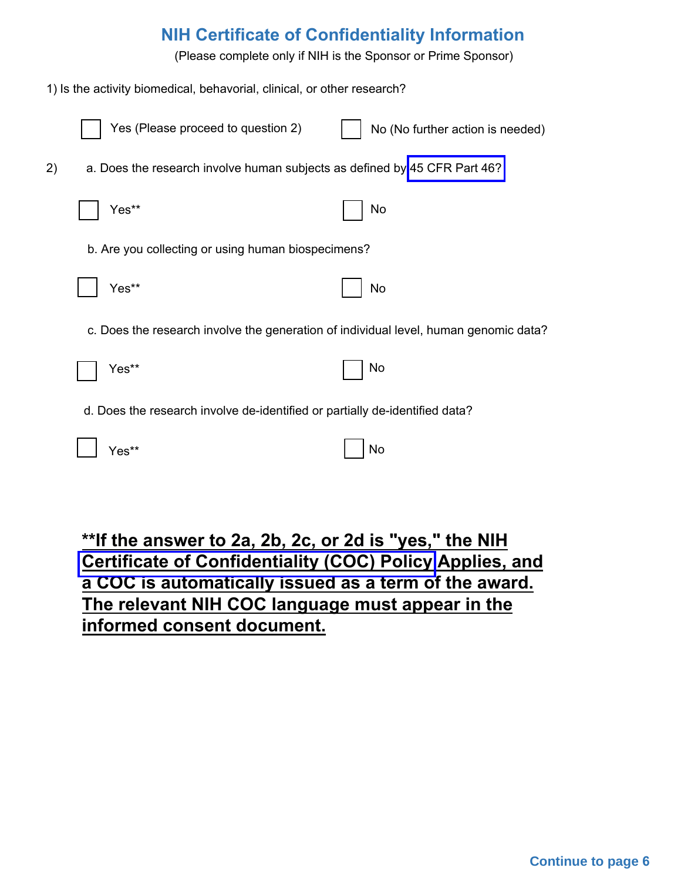# **NIH Certificate of Confidentiality Information**

(Please complete only if NIH is the Sponsor or Prime Sponsor)

1) Is the activity biomedical, behavorial, clinical, or other research?

|    | Yes (Please proceed to question 2)                                          | No (No further action is needed)                                                     |
|----|-----------------------------------------------------------------------------|--------------------------------------------------------------------------------------|
| 2) | a. Does the research involve human subjects as defined by 45 CFR Part 46?   |                                                                                      |
|    | Yes**                                                                       | No                                                                                   |
|    | b. Are you collecting or using human biospecimens?                          |                                                                                      |
|    | Yes**                                                                       | No                                                                                   |
|    |                                                                             | c. Does the research involve the generation of individual level, human genomic data? |
|    | Yes**                                                                       | No                                                                                   |
|    | d. Does the research involve de-identified or partially de-identified data? |                                                                                      |
|    | Yes**                                                                       | No                                                                                   |
|    |                                                                             |                                                                                      |

**\*\*If the answer to 2a, 2b, 2c, or 2d is "yes," the NIH [Certificate of Confidentiality](https://grants.nih.gov/grants/guide/notice-files/NOT-OD-17-109.html) (COC) Policy Applies, and a COC is automatically issued as a term of the award. The relevant NIH COC language must appear in the informed consent document.**